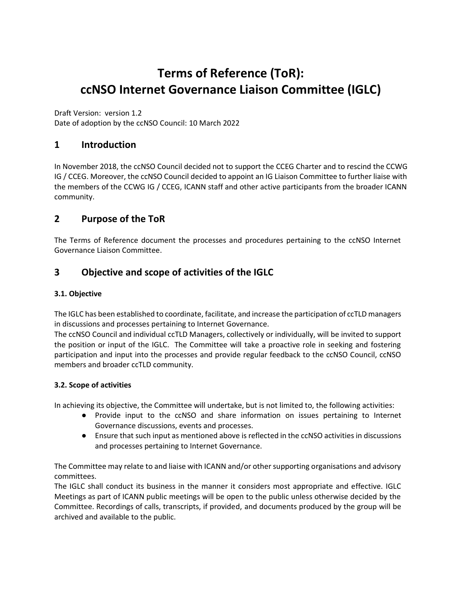# **Terms of Reference (ToR): ccNSO Internet Governance Liaison Committee (IGLC)**

Draft Version: version 1.2

Date of adoption by the ccNSO Council: 10 March 2022

# **1 Introduction**

In November 2018, the ccNSO Council decided not to support the CCEG Charter and to rescind the CCWG IG / CCEG. Moreover, the ccNSO Council decided to appoint an IG Liaison Committee to further liaise with the members of the CCWG IG / CCEG, ICANN staff and other active participants from the broader ICANN community.

# **2 Purpose of the ToR**

The Terms of Reference document the processes and procedures pertaining to the ccNSO Internet Governance Liaison Committee.

# **3 Objective and scope of activities of the IGLC**

#### **3.1. Objective**

The IGLC has been established to coordinate, facilitate, and increase the participation of ccTLD managers in discussions and processes pertaining to Internet Governance.

The ccNSO Council and individual ccTLD Managers, collectively or individually, will be invited to support the position or input of the IGLC. The Committee will take a proactive role in seeking and fostering participation and input into the processes and provide regular feedback to the ccNSO Council, ccNSO members and broader ccTLD community.

#### **3.2. Scope of activities**

In achieving its objective, the Committee will undertake, but is not limited to, the following activities:

- Provide input to the ccNSO and share information on issues pertaining to Internet Governance discussions, events and processes.
- Ensure that such input as mentioned above is reflected in the ccNSO activities in discussions and processes pertaining to Internet Governance.

The Committee may relate to and liaise with ICANN and/or other supporting organisations and advisory committees.

The IGLC shall conduct its business in the manner it considers most appropriate and effective. IGLC Meetings as part of ICANN public meetings will be open to the public unless otherwise decided by the Committee. Recordings of calls, transcripts, if provided, and documents produced by the group will be archived and available to the public.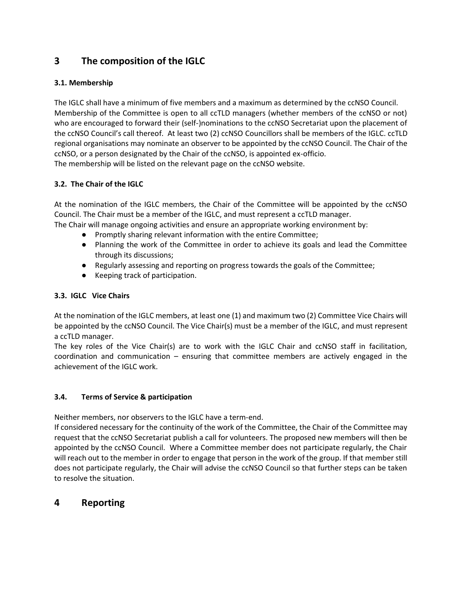# **3 The composition of the IGLC**

#### **3.1. Membership**

The IGLC shall have a minimum of five members and a maximum as determined by the ccNSO Council. Membership of the Committee is open to all ccTLD managers (whether members of the ccNSO or not) who are encouraged to forward their (self-)nominations to the ccNSO Secretariat upon the placement of the ccNSO Council's call thereof. At least two (2) ccNSO Councillors shall be members of the IGLC. ccTLD regional organisations may nominate an observer to be appointed by the ccNSO Council. The Chair of the ccNSO, or a person designated by the Chair of the ccNSO, is appointed ex-officio. The membership will be listed on the relevant page on the ccNSO website.

#### **3.2. The Chair of the IGLC**

At the nomination of the IGLC members, the Chair of the Committee will be appointed by the ccNSO Council. The Chair must be a member of the IGLC, and must represent a ccTLD manager.

- The Chair will manage ongoing activities and ensure an appropriate working environment by:
	- Promptly sharing relevant information with the entire Committee;
	- Planning the work of the Committee in order to achieve its goals and lead the Committee through its discussions;
	- Regularly assessing and reporting on progress towards the goals of the Committee;
	- Keeping track of participation.

#### **3.3. IGLC Vice Chairs**

At the nomination of the IGLC members, at least one (1) and maximum two (2) Committee Vice Chairs will be appointed by the ccNSO Council. The Vice Chair(s) must be a member of the IGLC, and must represent a ccTLD manager.

The key roles of the Vice Chair(s) are to work with the IGLC Chair and ccNSO staff in facilitation, coordination and communication – ensuring that committee members are actively engaged in the achievement of the IGLC work.

#### **3.4. Terms of Service & participation**

Neither members, nor observers to the IGLC have a term-end.

If considered necessary for the continuity of the work of the Committee, the Chair of the Committee may request that the ccNSO Secretariat publish a call for volunteers. The proposed new members will then be appointed by the ccNSO Council. Where a Committee member does not participate regularly, the Chair will reach out to the member in order to engage that person in the work of the group. If that member still does not participate regularly, the Chair will advise the ccNSO Council so that further steps can be taken to resolve the situation.

# **4 Reporting**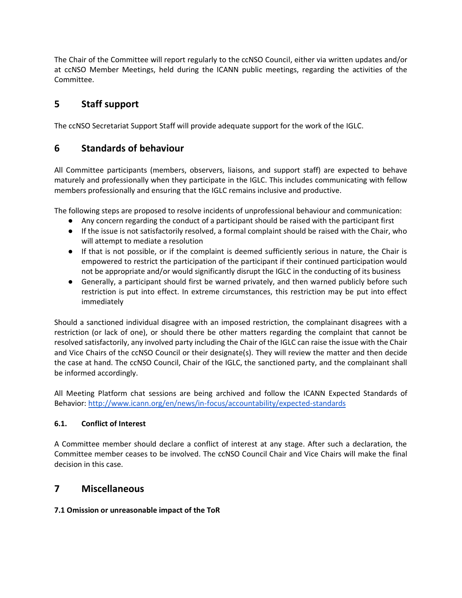The Chair of the Committee will report regularly to the ccNSO Council, either via written updates and/or at ccNSO Member Meetings, held during the ICANN public meetings, regarding the activities of the Committee.

# **5 Staff support**

The ccNSO Secretariat Support Staff will provide adequate support for the work of the IGLC.

# **6 Standards of behaviour**

All Committee participants (members, observers, liaisons, and support staff) are expected to behave maturely and professionally when they participate in the IGLC. This includes communicating with fellow members professionally and ensuring that the IGLC remains inclusive and productive.

The following steps are proposed to resolve incidents of unprofessional behaviour and communication:

- Any concern regarding the conduct of a participant should be raised with the participant first
- If the issue is not satisfactorily resolved, a formal complaint should be raised with the Chair, who will attempt to mediate a resolution
- If that is not possible, or if the complaint is deemed sufficiently serious in nature, the Chair is empowered to restrict the participation of the participant if their continued participation would not be appropriate and/or would significantly disrupt the IGLC in the conducting of its business
- Generally, a participant should first be warned privately, and then warned publicly before such restriction is put into effect. In extreme circumstances, this restriction may be put into effect immediately

Should a sanctioned individual disagree with an imposed restriction, the complainant disagrees with a restriction (or lack of one), or should there be other matters regarding the complaint that cannot be resolved satisfactorily, any involved party including the Chair of the IGLC can raise the issue with the Chair and Vice Chairs of the ccNSO Council or their designate(s). They will review the matter and then decide the case at hand. The ccNSO Council, Chair of the IGLC, the sanctioned party, and the complainant shall be informed accordingly.

All Meeting Platform chat sessions are being archived and follow the ICANN Expected Standards of Behavior[:](http://www.icann.org/en/news/in-focus/accountability/expected-standards) <http://www.icann.org/en/news/in-focus/accountability/expected-standards>

#### **6.1. Conflict of Interest**

A Committee member should declare a conflict of interest at any stage. After such a declaration, the Committee member ceases to be involved. The ccNSO Council Chair and Vice Chairs will make the final decision in this case.

# **7 Miscellaneous**

#### **7.1 Omission or unreasonable impact of the ToR**